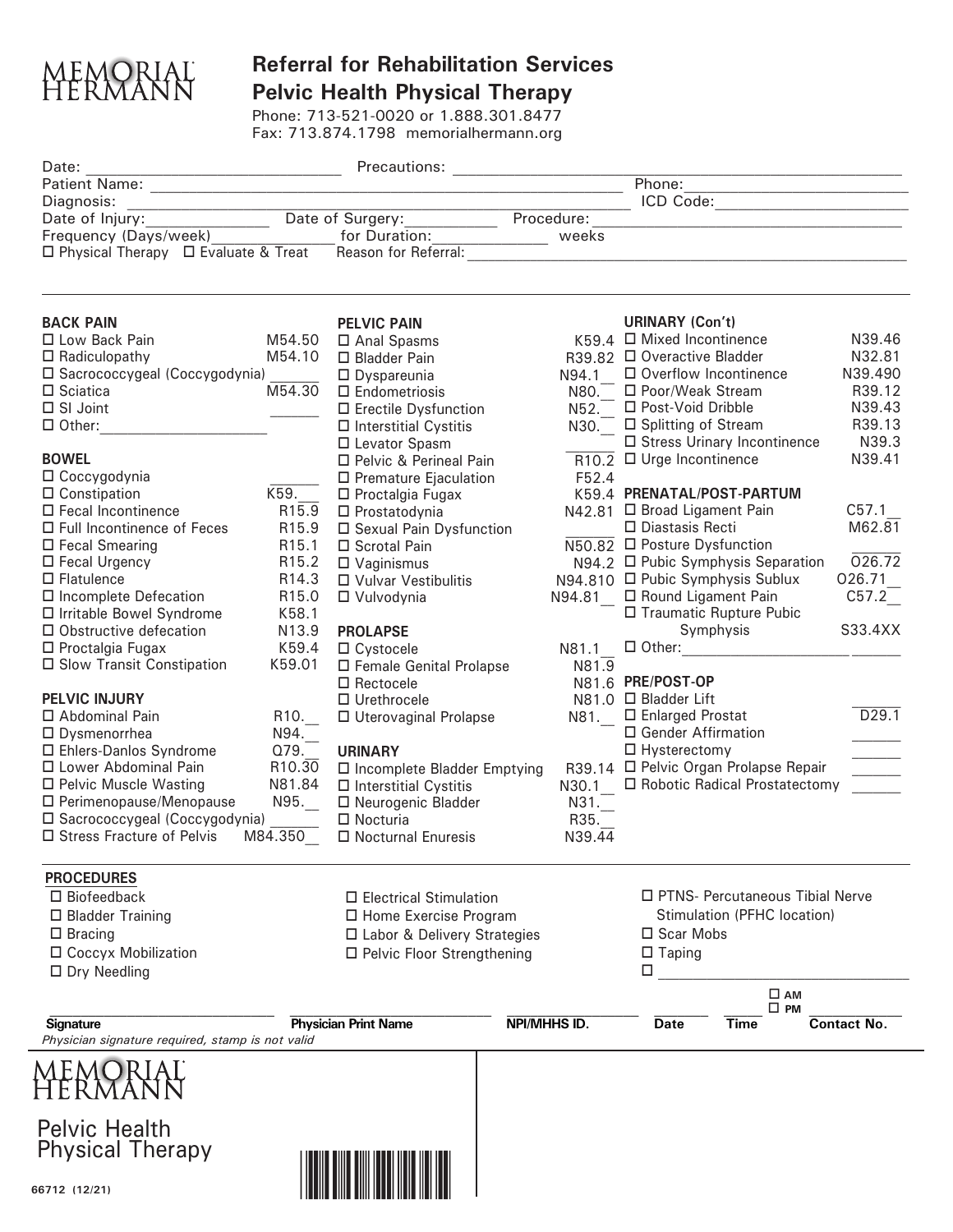

## **Referral for Rehabilitation Services Pelvic Health Physical Therapy**

Phone: 713-521-0020 or 1.888.301.8477 Fax: 713.874.1798 memorialhermann.org

| Date:                                                         |                                    |                                                          |                         |              |                                                       |                                       |                                                                                                                                                                                                                                                         |
|---------------------------------------------------------------|------------------------------------|----------------------------------------------------------|-------------------------|--------------|-------------------------------------------------------|---------------------------------------|---------------------------------------------------------------------------------------------------------------------------------------------------------------------------------------------------------------------------------------------------------|
|                                                               |                                    |                                                          |                         | Phone:       |                                                       |                                       |                                                                                                                                                                                                                                                         |
| Diagnosis:                                                    |                                    |                                                          | ICD Code:               |              |                                                       |                                       |                                                                                                                                                                                                                                                         |
|                                                               |                                    |                                                          |                         | Procedure:   |                                                       |                                       |                                                                                                                                                                                                                                                         |
|                                                               |                                    | Frequency (Days/week) [10] [10] [10] for Duration: weeks |                         |              |                                                       |                                       |                                                                                                                                                                                                                                                         |
| $\Box$ Physical Therapy $\Box$ Evaluate & Treat               |                                    | Reason for Referral:                                     |                         |              |                                                       |                                       |                                                                                                                                                                                                                                                         |
|                                                               |                                    |                                                          |                         |              |                                                       |                                       |                                                                                                                                                                                                                                                         |
| <b>BACK PAIN</b>                                              |                                    | <b>PELVIC PAIN</b>                                       |                         |              | <b>URINARY (Con't)</b>                                |                                       |                                                                                                                                                                                                                                                         |
| □ Low Back Pain                                               | M54.50                             | □ Anal Spasms                                            |                         |              | $K59.4$ $\Box$ Mixed Incontinence                     |                                       | N39.46                                                                                                                                                                                                                                                  |
| $\Box$ Radiculopathy                                          | M54.10                             | □ Bladder Pain                                           |                         |              | R39.82 □ Overactive Bladder                           |                                       | N32.81                                                                                                                                                                                                                                                  |
| □ Sacrococcygeal (Coccygodynia)                               |                                    | $\Box$ Dyspareunia                                       |                         | N94.1        | □ Overflow Incontinence                               |                                       | N39.490                                                                                                                                                                                                                                                 |
| M54.30<br>$\Box$ Sciatica                                     |                                    | $\square$ Endometriosis                                  |                         |              | N80. □ Poor/Weak Stream                               |                                       | R39.12                                                                                                                                                                                                                                                  |
| □ SI Joint                                                    |                                    | □ Erectile Dysfunction                                   |                         | $N52$ .      | □ Post-Void Dribble                                   |                                       | N39.43                                                                                                                                                                                                                                                  |
| $\Box$ Other:                                                 |                                    | $\Box$ Interstitial Cystitis                             |                         |              | N30. □ Splitting of Stream                            |                                       | R39.13                                                                                                                                                                                                                                                  |
|                                                               |                                    | □ Levator Spasm                                          |                         |              | □ Stress Urinary Incontinence                         |                                       | N39.3                                                                                                                                                                                                                                                   |
| <b>BOWEL</b>                                                  |                                    | □ Pelvic & Perineal Pain                                 |                         | F52.4        | $\overline{R10.2}$ $\Box$ Urge Incontinence           |                                       | N39.41                                                                                                                                                                                                                                                  |
|                                                               | $\Box$ Coccygodynia                |                                                          | □ Premature Ejaculation |              |                                                       |                                       |                                                                                                                                                                                                                                                         |
| □ Constipation                                                | K59.<br>□ Proctalgia Fugax         |                                                          |                         |              |                                                       | K59.4 PRENATAL/POST-PARTUM            |                                                                                                                                                                                                                                                         |
| □ Fecal Incontinence                                          | R15.9<br>$\Box$ Prostatodynia      |                                                          |                         |              | N42.81 □ Broad Ligament Pain                          |                                       | C57.1                                                                                                                                                                                                                                                   |
| □ Full Incontinence of Feces                                  | R15.9<br>□ Sexual Pain Dysfunction |                                                          |                         |              | □ Diastasis Recti                                     |                                       | M62.81                                                                                                                                                                                                                                                  |
| □ Fecal Smearing                                              |                                    | R15.1<br>□ Scrotal Pain                                  |                         |              | $\overline{\text{N50.82}}$ $\Box$ Posture Dysfunction |                                       |                                                                                                                                                                                                                                                         |
| $\Box$ Fecal Urgency                                          | R <sub>15.2</sub>                  | $\Box$ Vaginismus                                        |                         |              |                                                       | N94.2 □ Pubic Symphysis Separation    | 026.72                                                                                                                                                                                                                                                  |
| $\Box$ Flatulence                                             | R14.3                              | □ Vulvar Vestibulitis                                    |                         |              | N94.810 □ Pubic Symphysis Sublux                      |                                       | 026.71                                                                                                                                                                                                                                                  |
| □ Incomplete Defecation                                       | R <sub>15.0</sub>                  | □ Vulvodynia                                             |                         |              | N94.81 _ □ Round Ligament Pain                        |                                       | C57.2                                                                                                                                                                                                                                                   |
| □ Irritable Bowel Syndrome                                    | K58.1                              |                                                          |                         |              |                                                       | □ Traumatic Rupture Pubic             |                                                                                                                                                                                                                                                         |
| $\square$ Obstructive defecation                              | N13.9                              | <b>PROLAPSE</b>                                          |                         |              |                                                       | Symphysis                             | S33.4XX                                                                                                                                                                                                                                                 |
| □ Proctalgia Fugax                                            | K59.4                              | $\Box$ Cystocele                                         |                         |              |                                                       |                                       |                                                                                                                                                                                                                                                         |
| □ Slow Transit Constipation<br>K59.01                         |                                    | □ Female Genital Prolapse                                |                         | N81.9        | N81.6 PRE/POST-OP                                     |                                       |                                                                                                                                                                                                                                                         |
| <b>PELVIC INJURY</b>                                          |                                    | $\Box$ Rectocele                                         |                         |              | N81.0 □ Bladder Lift                                  |                                       |                                                                                                                                                                                                                                                         |
| □ Abdominal Pain                                              |                                    | $\Box$ Urethrocele<br>□ Uterovaginal Prolapse            |                         |              | □ Enlarged Prostat                                    |                                       | D29.1                                                                                                                                                                                                                                                   |
| □ Dysmenorrhea                                                | R10.<br>$N94$ .                    |                                                          |                         | N81.         | □ Gender Affirmation                                  |                                       |                                                                                                                                                                                                                                                         |
| □ Ehlers-Danlos Syndrome                                      | Q79.                               | <b>URINARY</b>                                           |                         |              | $\Box$ Hysterectomy                                   |                                       |                                                                                                                                                                                                                                                         |
| □ Lower Abdominal Pain                                        | R <sub>10.30</sub>                 | $\Box$ Incomplete Bladder Emptying                       |                         |              |                                                       | R39.14 □ Pelvic Organ Prolapse Repair | $\begin{tabular}{ c c c } \hline \quad \quad & \quad \quad & \quad \quad \\ \hline \quad \quad & \quad \quad & \quad \quad \\ \hline \quad \quad & \quad \quad & \quad \quad \\ \hline \quad \quad & \quad \quad & \quad \quad \\ \hline \end{tabular}$ |
| □ Pelvic Muscle Wasting                                       | N81.84                             | $\Box$ Interstitial Cystitis                             |                         |              |                                                       | N30.1 □ Robotic Radical Prostatectomy |                                                                                                                                                                                                                                                         |
| □ Perimenopause/Menopause                                     | N95.                               | □ Neurogenic Bladder                                     |                         | N31.         |                                                       |                                       |                                                                                                                                                                                                                                                         |
| □ Sacrococcygeal (Coccygodynia)                               |                                    | $\square$ Nocturia                                       |                         | R35.         |                                                       |                                       |                                                                                                                                                                                                                                                         |
| □ Stress Fracture of Pelvis<br>M84.350                        |                                    | □ Nocturnal Enuresis                                     |                         | N39.44       |                                                       |                                       |                                                                                                                                                                                                                                                         |
| <b>PROCEDURES</b>                                             |                                    |                                                          |                         |              |                                                       |                                       |                                                                                                                                                                                                                                                         |
| $\Box$ Biofeedback                                            | $\Box$ Electrical Stimulation      |                                                          |                         |              |                                                       | □ PTNS- Percutaneous Tibial Nerve     |                                                                                                                                                                                                                                                         |
| $\Box$ Bladder Training                                       |                                    | □ Home Exercise Program                                  |                         |              | Stimulation (PFHC location)                           |                                       |                                                                                                                                                                                                                                                         |
| $\Box$ Bracing                                                |                                    | □ Labor & Delivery Strategies                            |                         |              | □ Scar Mobs                                           |                                       |                                                                                                                                                                                                                                                         |
| □ Coccyx Mobilization                                         |                                    | □ Pelvic Floor Strengthening                             |                         |              | $\Box$ Taping                                         |                                       |                                                                                                                                                                                                                                                         |
| $\Box$ Dry Needling                                           |                                    |                                                          |                         |              | $\Box$                                                |                                       |                                                                                                                                                                                                                                                         |
|                                                               |                                    |                                                          |                         |              |                                                       | $\square$ AM                          |                                                                                                                                                                                                                                                         |
|                                                               | <b>Physician Print Name</b>        |                                                          |                         |              | $\square$ PM                                          |                                       |                                                                                                                                                                                                                                                         |
| Signature<br>Physician signature required, stamp is not valid |                                    |                                                          |                         | NPI/MHHS ID. | Date                                                  | Time                                  | <b>Contact No.</b>                                                                                                                                                                                                                                      |
|                                                               |                                    |                                                          |                         |              |                                                       |                                       |                                                                                                                                                                                                                                                         |
|                                                               |                                    |                                                          |                         |              |                                                       |                                       |                                                                                                                                                                                                                                                         |
|                                                               |                                    |                                                          |                         |              |                                                       |                                       |                                                                                                                                                                                                                                                         |
| <b>Pelvic Health</b>                                          |                                    |                                                          |                         |              |                                                       |                                       |                                                                                                                                                                                                                                                         |
| <b>Physical Therapy</b>                                       |                                    |                                                          |                         |              |                                                       |                                       |                                                                                                                                                                                                                                                         |
|                                                               |                                    |                                                          |                         |              |                                                       |                                       |                                                                                                                                                                                                                                                         |
| 66712 (12/21)                                                 |                                    |                                                          |                         |              |                                                       |                                       |                                                                                                                                                                                                                                                         |